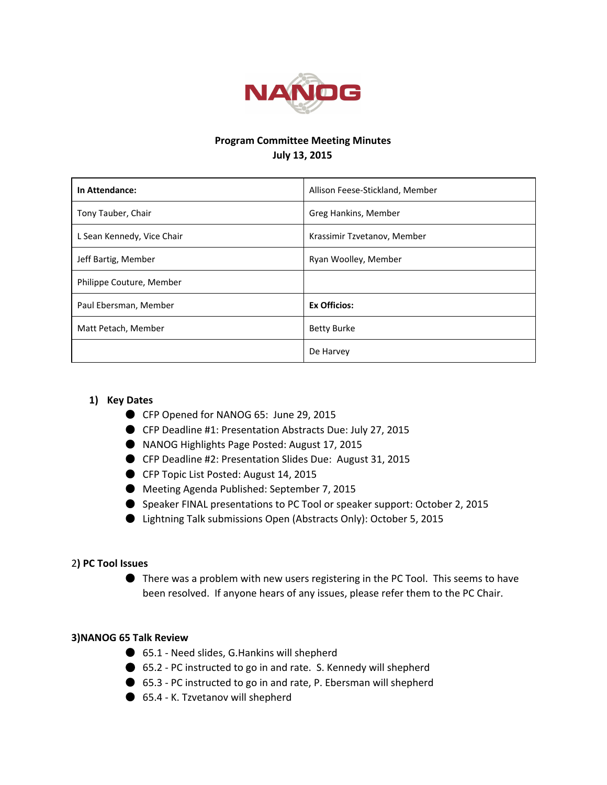

## Program Committee Meeting Minutes July 13, 2015

| In Attendance:             | Allison Feese-Stickland, Member |
|----------------------------|---------------------------------|
| Tony Tauber, Chair         | Greg Hankins, Member            |
| L Sean Kennedy, Vice Chair | Krassimir Tzvetanov, Member     |
| Jeff Bartig, Member        | Ryan Woolley, Member            |
| Philippe Couture, Member   |                                 |
| Paul Ebersman, Member      | <b>Ex Officios:</b>             |
| Matt Petach, Member        | <b>Betty Burke</b>              |
|                            | De Harvey                       |

### 1) Key Dates

- CFP Opened for NANOG 65: June 29, 2015
- CFP Deadline #1: Presentation Abstracts Due: July 27, 2015
- NANOG Highlights Page Posted: August 17, 2015
- CFP Deadline #2: Presentation Slides Due: August 31, 2015
- CFP Topic List Posted: August 14, 2015
- Meeting Agenda Published: September 7, 2015
- Speaker FINAL presentations to PC Tool or speaker support: October 2, 2015
- Lightning Talk submissions Open (Abstracts Only): October 5, 2015

#### 2) PC Tool Issues

● There was a problem with new users registering in the PC Tool. This seems to have been resolved. If anyone hears of any issues, please refer them to the PC Chair.

#### 3)NANOG 65 Talk Review

- 65.1 Need slides, G.Hankins will shepherd
- 65.2 PC instructed to go in and rate. S. Kennedy will shepherd
- 65.3 PC instructed to go in and rate, P. Ebersman will shepherd
- 65.4 K. Tzvetanov will shepherd